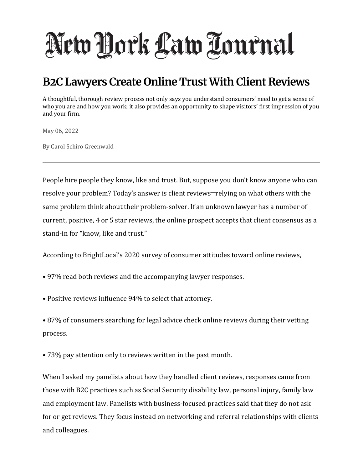## New York Law Tournal

## **B2C Lawyers Create Online Trust With Client Reviews**

A thoughtful, thorough review process not only says you understand consumers' need to get a sense of who you are and how you work; it also provides an opportunity to shape visitors' first impression of you and your firm.

May 06, 2022

By Carol Schiro Greenwald

People hire people they know, like and trust. But, suppose you don't know anyone who can resolve your problem? Today's answer is client reviews—relying on what others with the same problem think about their problem-solver. If an unknown lawyer has a number of current, positive, 4 or 5 star reviews, the online prospect accepts that client consensus as a stand-in for "know, like and trust."

According to BrightLocal's 2020 survey of consumer attitudes toward online reviews,

- 97% read both reviews and the accompanying lawyer responses.
- Positive reviews influence 94% to select that attorney.

• 87% of consumers searching for legal advice check online reviews during their vetting process.

• 73% pay attention only to reviews written in the past month.

When I asked my panelists about how they handled client reviews, responses came from those with B2C practices such as Social Security disability law, personal injury, family law and employment law. Panelists with business-focused practices said that they do not ask for or get reviews. They focus instead on networking and referral relationships with clients and colleagues.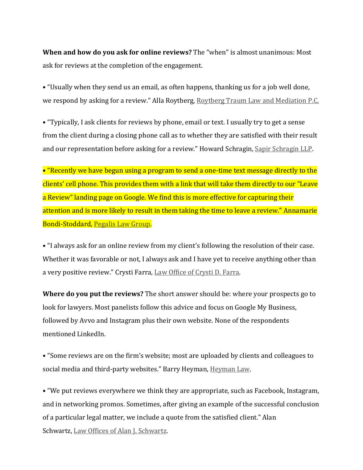**When and how do you ask for online reviews?** The "when" is almost unanimous: Most ask for reviews at the completion of the engagement.

• "Usually when they send us an email, as often happens, thanking us for a job well done, we respond by asking for a review." Alla Roytberg, Roytberg Traum Law and Mediation P.C.

• "Typically, I ask clients for reviews by phone, email or text. I usually try to get a sense from the client during a closing phone call as to whether they are satisfied with their result and our representation before asking for a review." Howard Schragin, Sapir Schragin LLP.

• "Recently we have begun using a program to send a one-time text message directly to the clients' cell phone. This provides them with a link that will take them directly to our "Leave a Review" landing page on Google. We find this is more effective for capturing their attention and is more likely to result in them taking the time to leave a review." Annamarie Bondi-Stoddard, [Pegalis Law Group.](http://www.pegalislawgroup.com/)

• "I always ask for an online review from my client's following the resolution of their case. Whether it was favorable or not, I always ask and I have yet to receive anything other than a very positive review." Crysti Farra, Law Office of Crysti D. Farra.

**Where do you put the reviews?** The short answer should be: where your prospects go to look for lawyers. Most panelists follow this advice and focus on Google My Business, followed by Avvo and Instagram plus their own website. None of the respondents mentioned LinkedIn.

• "Some reviews are on the firm's website; most are uploaded by clients and colleagues to social media and third-party websites." Barry Heyman, Heyman Law.

• "We put reviews everywhere we think they are appropriate, such as Facebook, Instagram, and in networking promos. Sometimes, after giving an example of the successful conclusion of a particular legal matter, we include a quote from the satisfied client." Alan Schwartz, Law Offices of Alan J. Schwartz.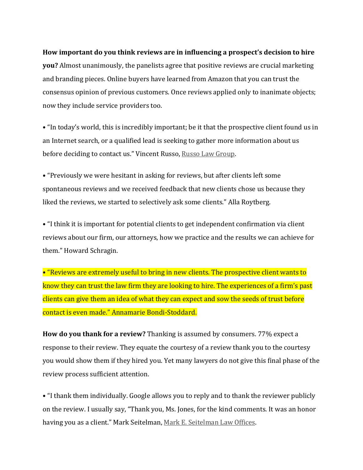## **How important do you think reviews are in influencing a prospect's decision to hire**

**you?** Almost unanimously, the panelists agree that positive reviews are crucial marketing and branding pieces. Online buyers have learned from Amazon that you can trust the consensus opinion of previous customers. Once reviews applied only to inanimate objects; now they include service providers too.

• "In today's world, this is incredibly important; be it that the prospective client found us in an Internet search, or a qualified lead is seeking to gather more information about us before deciding to contact us." Vincent Russo, Russo Law Group.

• "Previously we were hesitant in asking for reviews, but after clients left some spontaneous reviews and we received feedback that new clients chose us because they liked the reviews, we started to selectively ask some clients." Alla Roytberg.

• "I think it is important for potential clients to get independent confirmation via client reviews about our firm, our attorneys, how we practice and the results we can achieve for them." Howard Schragin.

• "Reviews are extremely useful to bring in new clients. The prospective client wants to know they can trust the law firm they are looking to hire. The experiences of a firm's past clients can give them an idea of what they can expect and sow the seeds of trust before contact is even made." Annamarie Bondi-Stoddard.

**How do you thank for a review?** Thanking is assumed by consumers. 77% expect a response to their review. They equate the courtesy of a review thank you to the courtesy you would show them if they hired you. Yet many lawyers do not give this final phase of the review process sufficient attention.

• "I thank them individually. Google allows you to reply and to thank the reviewer publicly on the review. I usually say, "Thank you, Ms. Jones, for the kind comments. It was an honor having you as a client." Mark Seitelman, Mark E. Seitelman Law Offices.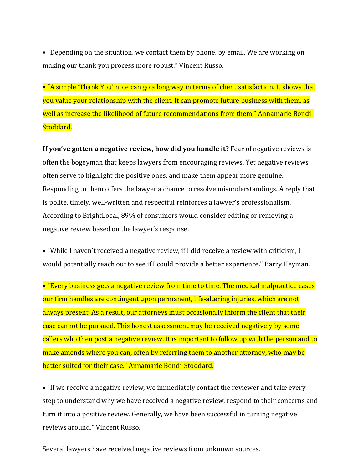• "Depending on the situation, we contact them by phone, by email. We are working on making our thank you process more robust." Vincent Russo.

• "A simple 'Thank You' note can go a long way in terms of client satisfaction. It shows that you value your relationship with the client. It can promote future business with them, as well as increase the likelihood of future recommendations from them." Annamarie Bondi-Stoddard.

**If you've gotten a negative review, how did you handle it?** Fear of negative reviews is often the bogeyman that keeps lawyers from encouraging reviews. Yet negative reviews often serve to highlight the positive ones, and make them appear more genuine. Responding to them offers the lawyer a chance to resolve misunderstandings. A reply that is polite, timely, well-written and respectful reinforces a lawyer's professionalism. According to BrightLocal, 89% of consumers would consider editing or removing a negative review based on the lawyer's response.

• "While I haven't received a negative review, if I did receive a review with criticism, I would potentially reach out to see if I could provide a better experience." Barry Heyman.

• "Every business gets a negative review from time to time. The medical malpractice cases our firm handles are contingent upon permanent, life-altering injuries, which are not always present. As a result, our attorneys must occasionally inform the client that their case cannot be pursued. This honest assessment may be received negatively by some callers who then post a negative review. It is important to follow up with the person and to make amends where you can, often by referring them to another attorney, who may be better suited for their case." Annamarie Bondi-Stoddard.

• "If we receive a negative review, we immediately contact the reviewer and take every step to understand why we have received a negative review, respond to their concerns and turn it into a positive review. Generally, we have been successful in turning negative reviews around." Vincent Russo.

Several lawyers have received negative reviews from unknown sources.